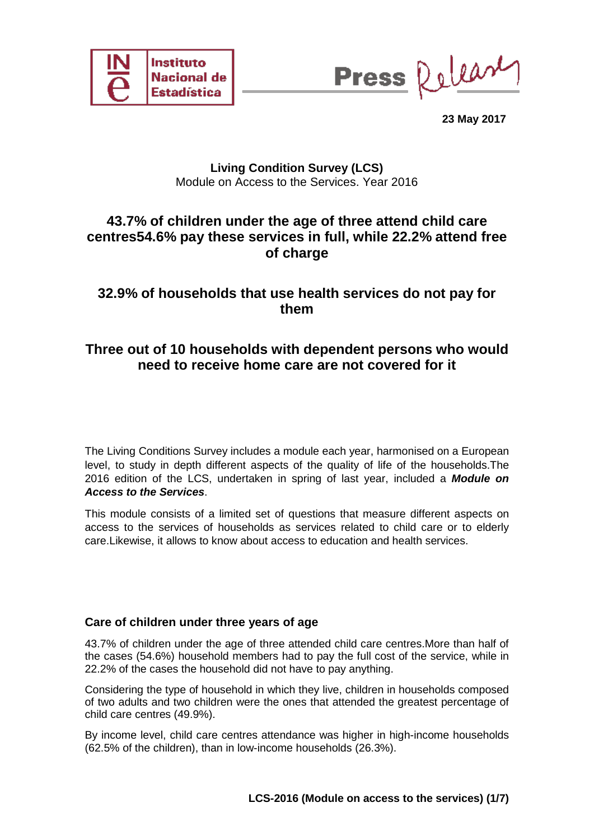



**23 May 2017**

### **Living Condition Survey (LCS)** Module on Access to the Services. Year 2016

# **43.7% of children under the age of three attend child care centres54.6% pay these services in full, while 22.2% attend free of charge**

# **32.9% of households that use health services do not pay for them**

# **Three out of 10 households with dependent persons who would need to receive home care are not covered for it**

The Living Conditions Survey includes a module each year, harmonised on a European level, to study in depth different aspects of the quality of life of the households.The 2016 edition of the LCS, undertaken in spring of last year, included a *Module on Access to the Services*.

This module consists of a limited set of questions that measure different aspects on access to the services of households as services related to child care or to elderly care.Likewise, it allows to know about access to education and health services.

### **Care of children under three years of age**

43.7% of children under the age of three attended child care centres.More than half of the cases (54.6%) household members had to pay the full cost of the service, while in 22.2% of the cases the household did not have to pay anything.

Considering the type of household in which they live, children in households composed of two adults and two children were the ones that attended the greatest percentage of child care centres (49.9%).

By income level, child care centres attendance was higher in high-income households (62.5% of the children), than in low-income households (26.3%).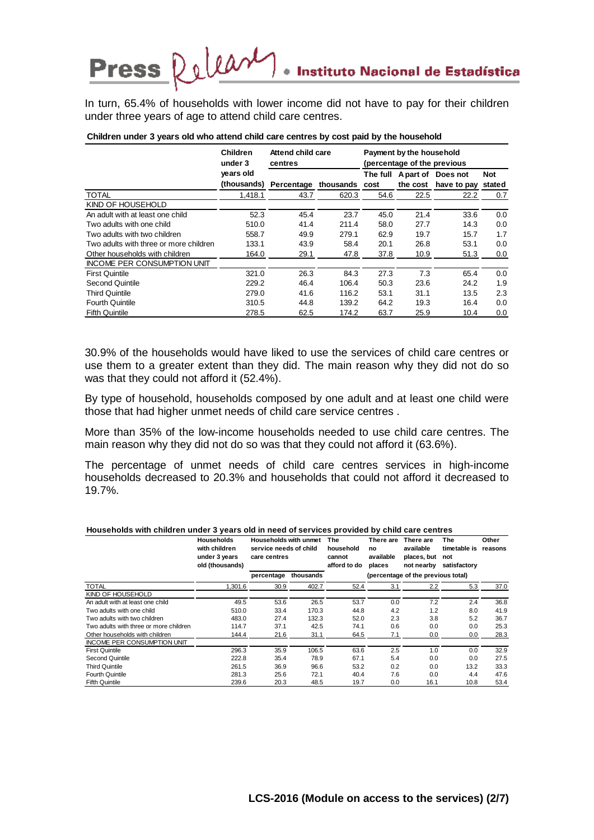In turn, 65.4% of households with lower income did not have to pay for their children under three years of age to attend child care centres.

|                                        | <b>Children</b><br>under 3 | Attend child care<br>centres | Payment by the household<br>(percentage of the previous |      |      |                            |            |
|----------------------------------------|----------------------------|------------------------------|---------------------------------------------------------|------|------|----------------------------|------------|
|                                        | years old                  |                              |                                                         |      |      | The full Apart of Does not | <b>Not</b> |
|                                        | (thousands)                | Percentage thousands cost    |                                                         |      |      | the cost have to pay       | stated     |
| <b>TOTAL</b>                           | 1.418.1                    | 43.7                         | 620.3                                                   | 54.6 | 22.5 | 22.2                       | 0.7        |
| KIND OF HOUSEHOLD                      |                            |                              |                                                         |      |      |                            |            |
| An adult with at least one child       | 52.3                       | 45.4                         | 23.7                                                    | 45.0 | 21.4 | 33.6                       | 0.0        |
| Two adults with one child              | 510.0                      | 41.4                         | 211.4                                                   | 58.0 | 27.7 | 14.3                       | 0.0        |
| Two adults with two children           | 558.7                      | 49.9                         | 279.1                                                   | 62.9 | 19.7 | 15.7                       | 1.7        |
| Two adults with three or more children | 133.1                      | 43.9                         | 58.4                                                    | 20.1 | 26.8 | 53.1                       | 0.0        |
| Other households with children         | 164.0                      | 29.1                         | 47.8                                                    | 37.8 | 10.9 | 51.3                       | 0.0        |
| <b>INCOME PER CONSUMPTION UNIT</b>     |                            |                              |                                                         |      |      |                            |            |
| <b>First Quintile</b>                  | 321.0                      | 26.3                         | 84.3                                                    | 27.3 | 7.3  | 65.4                       | 0.0        |
| Second Quintile                        | 229.2                      | 46.4                         | 106.4                                                   | 50.3 | 23.6 | 24.2                       | 1.9        |
| <b>Third Quintile</b>                  | 279.0                      | 41.6                         | 116.2                                                   | 53.1 | 31.1 | 13.5                       | 2.3        |
| <b>Fourth Quintile</b>                 | 310.5                      | 44.8                         | 139.2                                                   | 64.2 | 19.3 | 16.4                       | 0.0        |
| <b>Fifth Quintile</b>                  | 278.5                      | 62.5                         | 174.2                                                   | 63.7 | 25.9 | 10.4                       | 0.0        |

#### **Children under 3 years old who attend child care centres by cost paid by the household**

Press Release

30.9% of the households would have liked to use the services of child care centres or use them to a greater extent than they did. The main reason why they did not do so was that they could not afford it (52.4%).

By type of household, households composed by one adult and at least one child were those that had higher unmet needs of child care service centres .

More than 35% of the low-income households needed to use child care centres. The main reason why they did not do so was that they could not afford it (63.6%).

The percentage of unmet needs of child care centres services in high-income households decreased to 20.3% and households that could not afford it decreased to 19.7%.

| Households with children under 3 years old in need of services provided by child care centres |                                                                        |                                                                 |           |                                                   |                                        |                                                     |                                            |                  |  |  |  |
|-----------------------------------------------------------------------------------------------|------------------------------------------------------------------------|-----------------------------------------------------------------|-----------|---------------------------------------------------|----------------------------------------|-----------------------------------------------------|--------------------------------------------|------------------|--|--|--|
|                                                                                               | <b>Households</b><br>with children<br>under 3 years<br>old (thousands) | Households with unmet<br>service needs of child<br>care centres |           | <b>The</b><br>household<br>cannot<br>afford to do | There are<br>no<br>available<br>places | There are<br>available<br>places, but<br>not nearby | The<br>timetable is<br>not<br>satisfactory | Other<br>reasons |  |  |  |
|                                                                                               |                                                                        | percentage                                                      | thousands | (percentage of the previous total)                |                                        |                                                     |                                            |                  |  |  |  |
| <b>TOTAL</b>                                                                                  | 1.301.6                                                                | 30.9                                                            | 402.7     | 52.4                                              | 3.1                                    | 2.2                                                 | 5.3                                        | 37.0             |  |  |  |
| KIND OF HOUSEHOLD                                                                             |                                                                        |                                                                 |           |                                                   |                                        |                                                     |                                            |                  |  |  |  |
| An adult with at least one child                                                              | 49.5                                                                   | 53.6                                                            | 26.5      | 53.7                                              | 0.0                                    | 7.2                                                 | 2.4                                        | 36.8             |  |  |  |
| Two adults with one child                                                                     | 510.0                                                                  | 33.4                                                            | 170.3     | 44.8                                              | 4.2                                    | 1.2                                                 | 8.0                                        | 41.9             |  |  |  |
| Two adults with two children                                                                  | 483.0                                                                  | 27.4                                                            | 132.3     | 52.0                                              | 2.3                                    | 3.8                                                 | 5.2                                        | 36.7             |  |  |  |
| Two adults with three or more children                                                        | 114.7                                                                  | 37.1                                                            | 42.5      | 74.1                                              | 0.6                                    | 0.0                                                 | 0.0                                        | 25.3             |  |  |  |
| Other households with children                                                                | 144.4                                                                  | 21.6                                                            | 31.1      | 64.5                                              | 7.1                                    | 0.0                                                 | 0.0                                        | 28.3             |  |  |  |
| INCOME PER CONSUMPTION UNIT                                                                   |                                                                        |                                                                 |           |                                                   |                                        |                                                     |                                            |                  |  |  |  |
| <b>First Quintile</b>                                                                         | 296.3                                                                  | 35.9                                                            | 106.5     | 63.6                                              | 2.5                                    | 1.0                                                 | 0.0                                        | 32.9             |  |  |  |
| Second Quintile                                                                               | 222.8                                                                  | 35.4                                                            | 78.9      | 67.1                                              | 5.4                                    | 0.0                                                 | 0.0                                        | 27.5             |  |  |  |
| <b>Third Quintile</b>                                                                         | 261.5                                                                  | 36.9                                                            | 96.6      | 53.2                                              | 0.2                                    | 0.0                                                 | 13.2                                       | 33.3             |  |  |  |
| <b>Fourth Quintile</b>                                                                        | 281.3                                                                  | 25.6                                                            | 72.1      | 40.4                                              | 7.6                                    | 0.0                                                 | 4.4                                        | 47.6             |  |  |  |
| <b>Fifth Quintile</b>                                                                         | 239.6                                                                  | 20.3                                                            | 48.5      | 19.7                                              | 0.0                                    | 16.1                                                | 10.8                                       | 53.4             |  |  |  |

#### **Households with children under 3 years old in need of services provided by child care centres**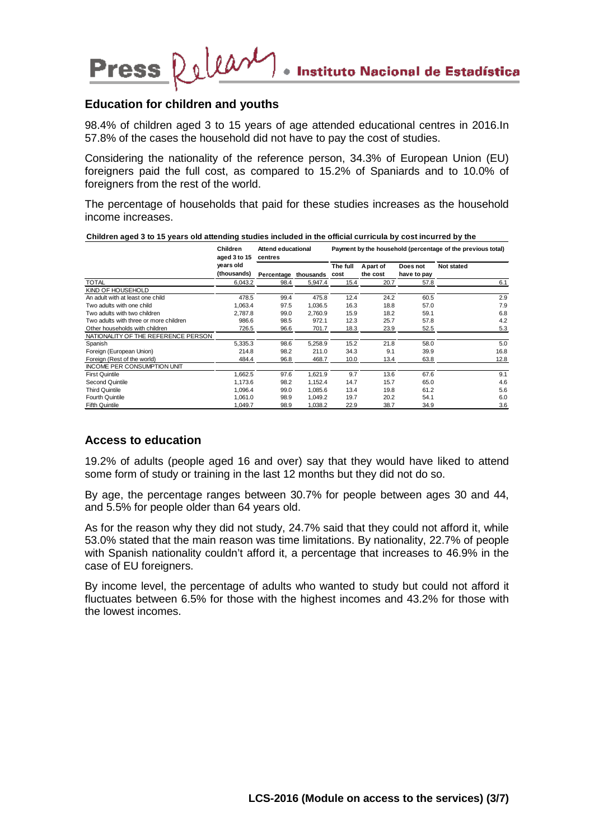### **Education for children and youths**

Press Relear

98.4% of children aged 3 to 15 years of age attended educational centres in 2016.In 57.8% of the cases the household did not have to pay the cost of studies.

Considering the nationality of the reference person, 34.3% of European Union (EU) foreigners paid the full cost, as compared to 15.2% of Spaniards and to 10.0% of foreigners from the rest of the world.

The percentage of households that paid for these studies increases as the household income increases.

**Children aged 3 to 15 years old attending studies included in the official curricula by cost incurred by the** 

|                                        | <b>Children</b><br>aged 3 to 15<br>years old<br>(thousands) | <b>Attend educational</b><br>centres |         |          |                       |                         | Payment by the household (percentage of the previous total) |
|----------------------------------------|-------------------------------------------------------------|--------------------------------------|---------|----------|-----------------------|-------------------------|-------------------------------------------------------------|
|                                        |                                                             | Percentage thousands cost            |         | The full | A part of<br>the cost | Does not<br>have to pay | Not stated                                                  |
| <b>TOTAL</b>                           | 6.043.2                                                     | 98.4                                 | 5,947.4 | 15.4     | 20.7                  | 57.8                    | 6.1                                                         |
| <b>KIND OF HOUSEHOLD</b>               |                                                             |                                      |         |          |                       |                         |                                                             |
| An adult with at least one child       | 478.5                                                       | 99.4                                 | 475.8   | 12.4     | 24.2                  | 60.5                    | 2.9                                                         |
| Two adults with one child              | 1,063.4                                                     | 97.5                                 | 1,036.5 | 16.3     | 18.8                  | 57.0                    | 7.9                                                         |
| Two adults with two children           | 2,787.8                                                     | 99.0                                 | 2,760.9 | 15.9     | 18.2                  | 59.1                    | 6.8                                                         |
| Two adults with three or more children | 986.6                                                       | 98.5                                 | 972.1   | 12.3     | 25.7                  | 57.8                    | 4.2                                                         |
| Other households with children         | 726.5                                                       | 96.6                                 | 701.7   | 18.3     | 23.9                  | 52.5                    | 5.3                                                         |
| NATIONALITY OF THE REFERENCE PERSON    |                                                             |                                      |         |          |                       |                         |                                                             |
| Spanish                                | 5,335.3                                                     | 98.6                                 | 5,258.9 | 15.2     | 21.8                  | 58.0                    | 5.0                                                         |
| Foreign (European Union)               | 214.8                                                       | 98.2                                 | 211.0   | 34.3     | 9.1                   | 39.9                    | 16.8                                                        |
| Foreign (Rest of the world)            | 484.4                                                       | 96.8                                 | 468.7   | 10.0     | 13.4                  | 63.8                    | 12.8                                                        |
| <b>INCOME PER CONSUMPTION UNIT</b>     |                                                             |                                      |         |          |                       |                         |                                                             |
| <b>First Quintile</b>                  | 1,662.5                                                     | 97.6                                 | 1,621.9 | 9.7      | 13.6                  | 67.6                    | 9.1                                                         |
| Second Quintile                        | 1.173.6                                                     | 98.2                                 | 1,152.4 | 14.7     | 15.7                  | 65.0                    | 4.6                                                         |
| <b>Third Quintile</b>                  | 1.096.4                                                     | 99.0                                 | 1,085.6 | 13.4     | 19.8                  | 61.2                    | 5.6                                                         |
| <b>Fourth Quintile</b>                 | 1,061.0                                                     | 98.9                                 | 1,049.2 | 19.7     | 20.2                  | 54.1                    | 6.0                                                         |
| <b>Fifth Quintile</b>                  | 1,049.7                                                     | 98.9                                 | 1,038.2 | 22.9     | 38.7                  | 34.9                    | 3.6                                                         |

### **Access to education**

19.2% of adults (people aged 16 and over) say that they would have liked to attend some form of study or training in the last 12 months but they did not do so.

By age, the percentage ranges between 30.7% for people between ages 30 and 44, and 5.5% for people older than 64 years old.

As for the reason why they did not study, 24.7% said that they could not afford it, while 53.0% stated that the main reason was time limitations. By nationality, 22.7% of people with Spanish nationality couldn't afford it, a percentage that increases to 46.9% in the case of EU foreigners.

By income level, the percentage of adults who wanted to study but could not afford it fluctuates between 6.5% for those with the highest incomes and 43.2% for those with the lowest incomes.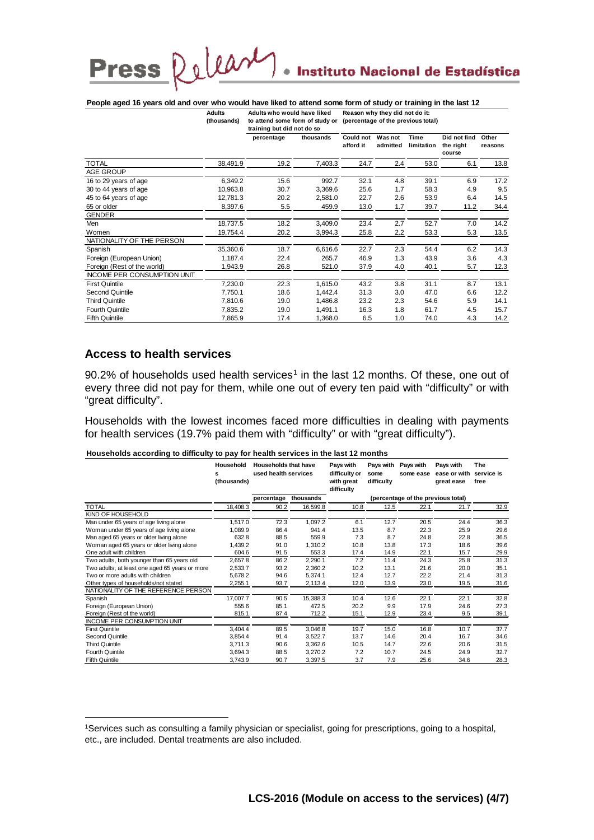# Instituto Nacional de Estadística

### **People aged 16 years old and over who would have liked to attend some form of study or training in the last 12**

Delease

| Adults      | Adults who would have liked | Reason why they did not do it:                                     |
|-------------|-----------------------------|--------------------------------------------------------------------|
| (thousands) |                             | to attend some form of study or (percentage of the previous total) |

|                                    |          | training but did not do so |           |                        |                            |                    |                                     |                  |
|------------------------------------|----------|----------------------------|-----------|------------------------|----------------------------|--------------------|-------------------------------------|------------------|
|                                    |          | percentage                 | thousands | Could not<br>afford it | <b>Was not</b><br>admitted | Time<br>limitation | Did not find<br>the right<br>course | Other<br>reasons |
| <b>TOTAL</b>                       | 38,491.9 | 19.2                       | 7,403.3   | 24.7                   | 2.4                        | 53.0               | 6.1                                 | 13.8             |
| AGE GROUP                          |          |                            |           |                        |                            |                    |                                     |                  |
| 16 to 29 years of age              | 6,349.2  | 15.6                       | 992.7     | 32.1                   | 4.8                        | 39.1               | 6.9                                 | 17.2             |
| 30 to 44 years of age              | 10,963.8 | 30.7                       | 3,369.6   | 25.6                   | 1.7                        | 58.3               | 4.9                                 | 9.5              |
| 45 to 64 years of age              | 12,781.3 | 20.2                       | 2,581.0   | 22.7                   | 2.6                        | 53.9               | 6.4                                 | 14.5             |
| 65 or older                        | 8,397.6  | 5.5                        | 459.9     | 13.0                   | 1.7                        | 39.7               | 11.2                                | 34.4             |
| <b>GENDER</b>                      |          |                            |           |                        |                            |                    |                                     |                  |
| Men                                | 18,737.5 | 18.2                       | 3,409.0   | 23.4                   | 2.7                        | 52.7               | 7.0                                 | 14.2             |
| Women                              | 19,754.4 | 20.2                       | 3,994.3   | 25.8                   | 2.2                        | 53.3               | 5.3                                 | 13.5             |
| NATIONALITY OF THE PERSON          |          |                            |           |                        |                            |                    |                                     |                  |
| Spanish                            | 35,360.6 | 18.7                       | 6,616.6   | 22.7                   | 2.3                        | 54.4               | 6.2                                 | 14.3             |
| Foreign (European Union)           | 1,187.4  | 22.4                       | 265.7     | 46.9                   | 1.3                        | 43.9               | 3.6                                 | 4.3              |
| Foreign (Rest of the world)        | 1,943.9  | 26.8                       | 521.0     | 37.9                   | 4.0                        | 40.1               | 5.7                                 | 12.3             |
| <b>INCOME PER CONSUMPTION UNIT</b> |          |                            |           |                        |                            |                    |                                     |                  |
| <b>First Quintile</b>              | 7,230.0  | 22.3                       | 1,615.0   | 43.2                   | 3.8                        | 31.1               | 8.7                                 | 13.1             |
| <b>Second Quintile</b>             | 7,750.1  | 18.6                       | 1,442.4   | 31.3                   | 3.0                        | 47.0               | 6.6                                 | 12.2             |
| <b>Third Quintile</b>              | 7,810.6  | 19.0                       | 1,486.8   | 23.2                   | 2.3                        | 54.6               | 5.9                                 | 14.1             |
| <b>Fourth Quintile</b>             | 7,835.2  | 19.0                       | 1,491.1   | 16.3                   | 1.8                        | 61.7               | 4.5                                 | 15.7             |
| <b>Fifth Quintile</b>              | 7,865.9  | 17.4                       | 1,368.0   | 6.5                    | 1.0                        | 74.0               | 4.3                                 | 14.2             |

### **Access to health services**

**Press** 

**.** 

 $90.2\%$  of households used health services<sup>[1](#page-3-0)</sup> in the last 12 months. Of these, one out of every three did not pay for them, while one out of every ten paid with "difficulty" or with "great difficulty".

Households with the lowest incomes faced more difficulties in dealing with payments for health services (19.7% paid them with "difficulty" or with "great difficulty").

#### **Households according to difficulty to pay for health services in the last 12 months**

|                                                | Household<br>s<br>(thousands) |            | <b>Households that have</b><br>Pays with<br>used health services<br>difficulty or<br>with great<br>difficulty |      | Pavs with<br>some<br>difficulty | Pays with<br>some ease             | Pays with<br>ease or with<br>great ease | The<br>service is<br>free |
|------------------------------------------------|-------------------------------|------------|---------------------------------------------------------------------------------------------------------------|------|---------------------------------|------------------------------------|-----------------------------------------|---------------------------|
|                                                |                               | percentage | thousands                                                                                                     |      |                                 | (percentage of the previous total) |                                         |                           |
| <b>TOTAL</b>                                   | 18,408.3                      | 90.2       | 16,599.8                                                                                                      | 10.8 | 12.5                            | 22.1                               | 21.7                                    | 32.9                      |
| KIND OF HOUSEHOLD                              |                               |            |                                                                                                               |      |                                 |                                    |                                         |                           |
| Man under 65 years of age living alone         | 1,517.0                       | 72.3       | 1,097.2                                                                                                       | 6.1  | 12.7                            | 20.5                               | 24.4                                    | 36.3                      |
| Woman under 65 years of age living alone       | 1.089.9                       | 86.4       | 941.4                                                                                                         | 13.5 | 8.7                             | 22.3                               | 25.9                                    | 29.6                      |
| Man aged 65 years or older living alone        | 632.8                         | 88.5       | 559.9                                                                                                         | 7.3  | 8.7                             | 24.8                               | 22.8                                    | 36.5                      |
| Woman aged 65 years or older living alone      | 1,439.2                       | 91.0       | 1,310.2                                                                                                       | 10.8 | 13.8                            | 17.3                               | 18.6                                    | 39.6                      |
| One adult with children                        | 604.6                         | 91.5       | 553.3                                                                                                         | 17.4 | 14.9                            | 22.1                               | 15.7                                    | 29.9                      |
| Two adults, both younger than 65 years old     | 2,657.8                       | 86.2       | 2,290.1                                                                                                       | 7.2  | 11.4                            | 24.3                               | 25.8                                    | 31.3                      |
| Two adults, at least one aged 65 years or more | 2,533.7                       | 93.2       | 2,360.2                                                                                                       | 10.2 | 13.1                            | 21.6                               | 20.0                                    | 35.1                      |
| Two or more adults with children               | 5,678.2                       | 94.6       | 5,374.1                                                                                                       | 12.4 | 12.7                            | 22.2                               | 21.4                                    | 31.3                      |
| Other types of households/not stated           | 2.255.1                       | 93.7       | 2,113.4                                                                                                       | 12.0 | 13.9                            | 23.0                               | 19.5                                    | 31.6                      |
| NATIONALITY OF THE REFERENCE PERSON            |                               |            |                                                                                                               |      |                                 |                                    |                                         |                           |
| Spanish                                        | 17,007.7                      | 90.5       | 15,388.3                                                                                                      | 10.4 | 12.6                            | 22.1                               | 22.1                                    | 32.8                      |
| Foreign (European Union)                       | 555.6                         | 85.1       | 472.5                                                                                                         | 20.2 | 9.9                             | 17.9                               | 24.6                                    | 27.3                      |
| Foreign (Rest of the world)                    | 815.1                         | 87.4       | 712.2                                                                                                         | 15.1 | 12.9                            | 23.4                               | 9.5                                     | 39.1                      |
| INCOME PER CONSUMPTION UNIT                    |                               |            |                                                                                                               |      |                                 |                                    |                                         |                           |
| <b>First Quintile</b>                          | 3,404.4                       | 89.5       | 3,046.8                                                                                                       | 19.7 | 15.0                            | 16.8                               | 10.7                                    | 37.7                      |
| Second Quintile                                | 3,854.4                       | 91.4       | 3,522.7                                                                                                       | 13.7 | 14.6                            | 20.4                               | 16.7                                    | 34.6                      |
| <b>Third Quintile</b>                          | 3.711.3                       | 90.6       | 3,362.6                                                                                                       | 10.5 | 14.7                            | 22.6                               | 20.6                                    | 31.5                      |
| Fourth Quintile                                | 3.694.3                       | 88.5       | 3.270.2                                                                                                       | 7.2  | 10.7                            | 24.5                               | 24.9                                    | 32.7                      |
| <b>Fifth Quintile</b>                          | 3,743.9                       | 90.7       | 3,397.5                                                                                                       | 3.7  | 7.9                             | 25.6                               | 34.6                                    | 28.3                      |

<span id="page-3-0"></span><sup>1</sup>Services such as consulting a family physician or specialist, going for prescriptions, going to a hospital, etc., are included. Dental treatments are also included.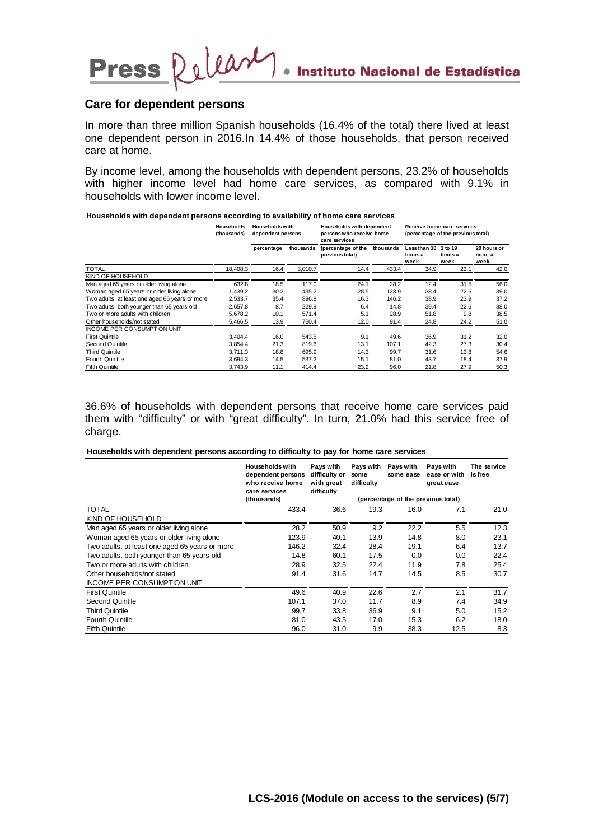### **Care for dependent persons**

Press Relear

In more than three million Spanish households (16.4% of the total) there lived at least one dependent person in 2016.In 14.4% of those households, that person received care at home.

By income level, among the households with dependent persons, 23.2% of households with higher income level had home care services, as compared with 9.1% in households with lower income level.

**Households with dependent persons according to availability of home care services**

|                                                | <b>Households</b><br>(thousands) | <b>Households with</b><br>dependent persons |           | Households with dependent<br>persons who receive home<br>care services |           | Receive home care services<br>(percentage of the previous total) |                            |                               |  |
|------------------------------------------------|----------------------------------|---------------------------------------------|-----------|------------------------------------------------------------------------|-----------|------------------------------------------------------------------|----------------------------|-------------------------------|--|
|                                                |                                  | percentage                                  | thousands | (percentage of the<br>previous total)                                  | thousands | Less than 10<br>hours a<br>week                                  | 1 to 19<br>times a<br>week | 20 hours or<br>more a<br>week |  |
| <b>TOTAL</b>                                   | 18,408.3                         | 16.4                                        | 3,010.7   | 14.4                                                                   | 433.4     | 34.9                                                             | 23.1                       | 42.0                          |  |
| KIND OF HOUSEHOLD                              |                                  |                                             |           |                                                                        |           |                                                                  |                            |                               |  |
| Man aged 65 years or older living alone        | 632.8                            | 18.5                                        | 117.0     | 24.1                                                                   | 28.2      | 12.4                                                             | 31.5                       | 56.0                          |  |
| Woman aged 65 years or older living alone      | 1,439.2                          | 30.2                                        | 435.2     | 28.5                                                                   | 123.9     | 38.4                                                             | 22.6                       | 39.0                          |  |
| Two adults, at least one aged 65 years or more | 2.533.7                          | 35.4                                        | 896.8     | 16.3                                                                   | 146.2     | 38.9                                                             | 23.9                       | 37.2                          |  |
| Two adults, both younger than 65 years old     | 2.657.8                          | 8.7                                         | 229.9     | 6.4                                                                    | 14.8      | 39.4                                                             | 22.6                       | 38.0                          |  |
| Two or more adults with children               | 5.678.2                          | 10.1                                        | 571.4     | 5.1                                                                    | 28.9      | 51.8                                                             | 9.8                        | 38.5                          |  |
| Other households/not stated                    | 5.466.5                          | 13.9                                        | 760.4     | 12.0                                                                   | 91.4      | 24.8                                                             | 24.2                       | 51.0                          |  |
| <b>INCOME PER CONSUMPTION UNIT</b>             |                                  |                                             |           |                                                                        |           |                                                                  |                            |                               |  |
| <b>First Quintile</b>                          | 3,404.4                          | 16.0                                        | 543.5     | 9.1                                                                    | 49.6      | 36.9                                                             | 31.2                       | 32.0                          |  |
| Second Quintile                                | 3.854.4                          | 21.3                                        | 819.6     | 13.1                                                                   | 107.1     | 42.3                                                             | 27.3                       | 30.4                          |  |
| <b>Third Quintile</b>                          | 3.711.3                          | 18.8                                        | 695.9     | 14.3                                                                   | 99.7      | 31.6                                                             | 13.8                       | 54.6                          |  |
| <b>Fourth Quintile</b>                         | 3,694.3                          | 14.5                                        | 537.2     | 15.1                                                                   | 81.0      | 43.7                                                             | 18.4                       | 37.9                          |  |
| <b>Fifth Quintile</b>                          | 3.743.9                          | 11.1                                        | 414.4     | 23.2                                                                   | 96.0      | 21.8                                                             | 27.9                       | 50.3                          |  |

36.6% of households with dependent persons that receive home care services paid them with "difficulty" or with "great difficulty". In turn, 21.0% had this service free of charge.

#### **Households with dependent persons according to difficulty to pay for home care services**

|                                                | <b>Households with</b><br>dependent persons<br>who receive home<br>care services | Pays with<br>difficulty or<br>with great<br>difficulty | Pays with<br>some<br>difficulty | Pays with<br>some ease             | Pays with<br>ease or with<br>great ease | The service<br>is free |
|------------------------------------------------|----------------------------------------------------------------------------------|--------------------------------------------------------|---------------------------------|------------------------------------|-----------------------------------------|------------------------|
|                                                | (thousands)                                                                      |                                                        |                                 | (percentage of the previous total) |                                         |                        |
| TOTAL                                          | 433.4                                                                            | 36.6                                                   | 19.3                            | 16.0                               | 7.1                                     | 21.0                   |
| KIND OF HOUSEHOLD                              |                                                                                  |                                                        |                                 |                                    |                                         |                        |
| Man aged 65 years or older living alone        | 28.2                                                                             | 50.9                                                   | 9.2                             | 22.2                               | 5.5                                     | 12.3                   |
| Woman aged 65 years or older living alone      | 123.9                                                                            | 40.1                                                   | 13.9                            | 14.8                               | 8.0                                     | 23.1                   |
| Two adults, at least one aged 65 years or more | 146.2                                                                            | 32.4                                                   | 28.4                            | 19.1                               | 6.4                                     | 13.7                   |
| Two adults, both younger than 65 years old     | 14.8                                                                             | 60.1                                                   | 17.5                            | 0.0                                | 0.0                                     | 22.4                   |
| Two or more adults with children               | 28.9                                                                             | 32.5                                                   | 22.4                            | 11.9                               | 7.8                                     | 25.4                   |
| Other households/not stated                    | 91.4                                                                             | 31.6                                                   | 14.7                            | 14.5                               | 8.5                                     | 30.7                   |
| <b>INCOME PER CONSUMPTION UNIT</b>             |                                                                                  |                                                        |                                 |                                    |                                         |                        |
| <b>First Quintile</b>                          | 49.6                                                                             | 40.9                                                   | 22.6                            | 2.7                                | 2.1                                     | 31.7                   |
| Second Quintile                                | 107.1                                                                            | 37.0                                                   | 11.7                            | 8.9                                | 7.4                                     | 34.9                   |
| <b>Third Quintile</b>                          | 99.7                                                                             | 33.8                                                   | 36.9                            | 9.1                                | 5.0                                     | 15.2                   |
| <b>Fourth Quintile</b>                         | 81.0                                                                             | 43.5                                                   | 17.0                            | 15.3                               | 6.2                                     | 18.0                   |
| <b>Fifth Quintile</b>                          | 96.0                                                                             | 31.0                                                   | 9.9                             | 38.3                               | 12.5                                    | 8.3                    |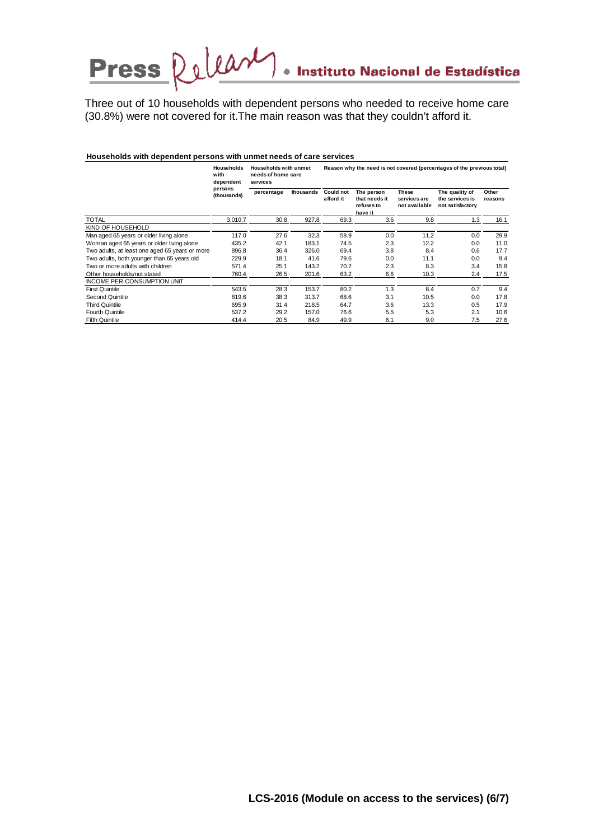# Press Release · Instituto Nacional de Estadística

Three out of 10 households with dependent persons who needed to receive home care (30.8%) were not covered for it.The main reason was that they couldn't afford it.

#### **Households with dependent persons with unmet needs of care services**

|                                                | <b>Households</b><br>with<br>dependent<br>persons<br>(thousands) | <b>Households with unmet</b><br>needs of home care<br>services |           |                               |                                                      |                                               | Reason why the need is not covered (percentages of the previous total) |                  |
|------------------------------------------------|------------------------------------------------------------------|----------------------------------------------------------------|-----------|-------------------------------|------------------------------------------------------|-----------------------------------------------|------------------------------------------------------------------------|------------------|
|                                                |                                                                  | percentage                                                     | thousands | <b>Could not</b><br>afford it | The person<br>that needs it<br>refuses to<br>have it | <b>These</b><br>services are<br>not available | The quality of<br>the services is<br>not satisfactory                  | Other<br>reasons |
| <b>TOTAL</b>                                   | 3,010.7                                                          | 30.8                                                           | 927.8     | 69.3                          | 3.6                                                  | 9.8                                           | 1.3                                                                    | 16.1             |
| KIND OF HOUSEHOLD                              |                                                                  |                                                                |           |                               |                                                      |                                               |                                                                        |                  |
| Man aged 65 years or older living alone        | 117.0                                                            | 27.6                                                           | 32.3      | 58.9                          | 0.0                                                  | 11.2                                          | 0.0                                                                    | 29.9             |
| Woman aged 65 years or older living alone      | 435.2                                                            | 42.1                                                           | 183.1     | 74.5                          | 2.3                                                  | 12.2                                          | 0.0                                                                    | 11.0             |
| Two adults, at least one aged 65 years or more | 896.8                                                            | 36.4                                                           | 326.0     | 69.4                          | 3.8                                                  | 8.4                                           | 0.6                                                                    | 17.7             |
| Two adults, both younger than 65 years old     | 229.9                                                            | 18.1                                                           | 41.6      | 79.6                          | 0.0                                                  | 11.1                                          | 0.0                                                                    | 9.4              |
| Two or more adults with children               | 571.4                                                            | 25.1                                                           | 143.2     | 70.2                          | 2.3                                                  | 8.3                                           | 3.4                                                                    | 15.8             |
| Other households/not stated                    | 760.4                                                            | 26.5                                                           | 201.6     | 63.2                          | 6.6                                                  | 10.3                                          | 2.4                                                                    | 17.5             |
| <b>INCOME PER CONSUMPTION UNIT</b>             |                                                                  |                                                                |           |                               |                                                      |                                               |                                                                        |                  |
| <b>First Quintile</b>                          | 543.5                                                            | 28.3                                                           | 153.7     | 80.2                          | 1.3                                                  | 8.4                                           | 0.7                                                                    | 9.4              |
| Second Quintile                                | 819.6                                                            | 38.3                                                           | 313.7     | 68.6                          | 3.1                                                  | 10.5                                          | 0.0                                                                    | 17.8             |
| <b>Third Quintile</b>                          | 695.9                                                            | 31.4                                                           | 218.5     | 64.7                          | 3.6                                                  | 13.3                                          | 0.5                                                                    | 17.9             |
| <b>Fourth Quintile</b>                         | 537.2                                                            | 29.2                                                           | 157.0     | 76.6                          | 5.5                                                  | 5.3                                           | 2.1                                                                    | 10.6             |
| <b>Fifth Quintile</b>                          | 414.4                                                            | 20.5                                                           | 84.9      | 49.9                          | 6.1                                                  | 9.0                                           | 7.5                                                                    | 27.6             |